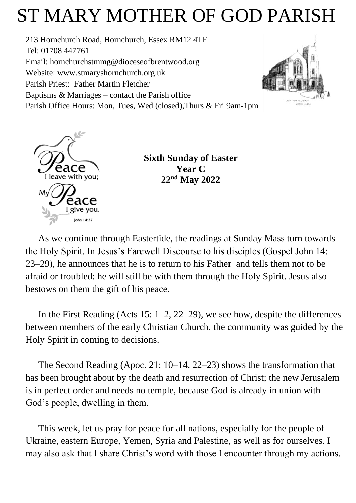# ST MARY MOTHER OF GOD PARISH

213 Hornchurch Road, Hornchurch, Essex RM12 4TF Tel: 01708 447761 Email: [hornchurchstmmg@dioceseofbrentwood.org](mailto:hornchurchstmmg@dioceseofbrentwood.org) Website: [www.stmaryshornchurch.org.uk](http://www.stmaryshornchurch.org.uk/) Parish Priest: Father Martin Fletcher Baptisms & Marriages – contact the Parish office Parish Office Hours: Mon, Tues, Wed (closed),Thurs & Fri 9am-1pm





**Sixth Sunday of Easter Year C 22nd May 2022**

As we continue through Eastertide, the readings at Sunday Mass turn towards the Holy Spirit. In Jesus's Farewell Discourse to his disciples (Gospel John 14: 23–29), he announces that he is to return to his Father and tells them not to be afraid or troubled: he will still be with them through the Holy Spirit. Jesus also bestows on them the gift of his peace.

In the First Reading (Acts 15: 1–2, 22–29), we see how, despite the differences between members of the early Christian Church, the community was guided by the Holy Spirit in coming to decisions.

The Second Reading (Apoc. 21: 10–14, 22–23) shows the transformation that has been brought about by the death and resurrection of Christ; the new Jerusalem is in perfect order and needs no temple, because God is already in union with God's people, dwelling in them.

This week, let us pray for peace for all nations, especially for the people of Ukraine, eastern Europe, Yemen, Syria and Palestine, as well as for ourselves. I may also ask that I share Christ's word with those I encounter through my actions.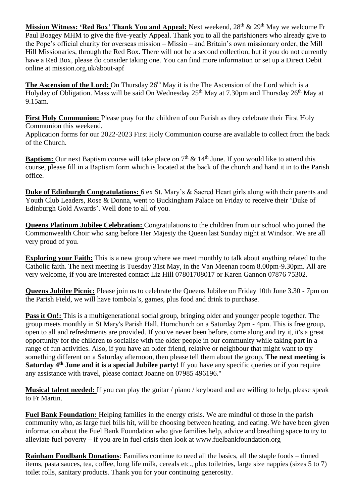**Mission Witness: 'Red Box' Thank You and Appeal:** Next weekend, 28<sup>th</sup> & 29<sup>th</sup> May we welcome Fr Paul Boagey MHM to give the five-yearly Appeal. Thank you to all the parishioners who already give to the Pope's official charity for overseas mission – Missio – and Britain's own missionary order, the Mill Hill Missionaries, through the Red Box. There will not be a second collection, but if you do not currently have a Red Box, please do consider taking one. You can find more information or set up a Direct Debit online at mission.org.uk/about-apf

The Ascension of the Lord: On Thursday 26<sup>th</sup> May it is the The Ascension of the Lord which is a Holyday of Obligation. Mass will be said On Wednesday 25<sup>th</sup> May at 7.30pm and Thursday 26<sup>th</sup> May at 9.15am.

**First Holy Communion:** Please pray for the children of our Parish as they celebrate their First Holy Communion this weekend.

Application forms for our 2022-2023 First Holy Communion course are available to collect from the back of the Church.

**Baptism:** Our next Baptism course will take place on  $7<sup>th</sup>$  & 14<sup>th</sup> June. If you would like to attend this course, please fill in a Baptism form which is located at the back of the church and hand it in to the Parish office.

**Duke of Edinburgh Congratulations:** 6 ex St. Mary's & Sacred Heart girls along with their parents and Youth Club Leaders, Rose & Donna, went to Buckingham Palace on Friday to receive their 'Duke of Edinburgh Gold Awards'. Well done to all of you.

**Queens Platinum Jubilee Celebration:** Congratulations to the children from our school who joined the Commonwealth Choir who sang before Her Majesty the Queen last Sunday night at Windsor. We are all very proud of you.

**Exploring your Faith:** This is a new group where we meet monthly to talk about anything related to the Catholic faith. The next meeting is Tuesday 31st May, in the Van Meenan room 8.00pm-9.30pm. All are very welcome, if you are interested contact Liz Hill 07801708017 or Karen Gannon 07876 75302.

**Queens Jubilee Picnic:** Please join us to celebrate the Queens Jubilee on Friday 10th June 3.30 - 7pm on the Parish Field, we will have tombola's, games, plus food and drink to purchase.

**Pass it On!:** This is a multigenerational social group, bringing older and younger people together. The group meets monthly in St Mary's Parish Hall, Hornchurch on a Saturday 2pm - 4pm. This is free group, open to all and refreshments are provided. If you've never been before, come along and try it, it's a great opportunity for the children to socialise with the older people in our community while taking part in a range of fun activities. Also, if you have an older friend, relative or neighbour that might want to try something different on a Saturday afternoon, then please tell them about the group. **The next meeting is Saturday 4th June and it is a special Jubilee party!** If you have any specific queries or if you require any assistance with travel, please contact Joanne on 07985 496196."

**Musical talent needed:** If you can play the guitar / piano / keyboard and are willing to help, please speak to Fr Martin.

**Fuel Bank Foundation:** Helping families in the energy crisis. We are mindful of those in the parish community who, as large fuel bills hit, will be choosing between heating, and eating. We have been given information about the Fuel Bank Foundation who give families help, advice and breathing space to try to alleviate fuel poverty – if you are in fuel crisis then look at www.fuelbankfoundation.org

**Rainham Foodbank Donations**: Families continue to need all the basics, all the staple foods – tinned items, pasta sauces, tea, coffee, long life milk, cereals etc., plus toiletries, large size nappies (sizes 5 to 7) toilet rolls, sanitary products. Thank you for your continuing generosity.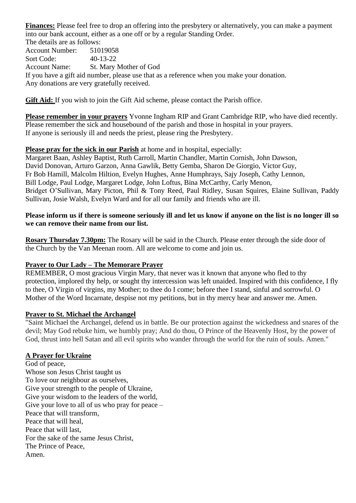**Finances:** Please feel free to drop an offering into the presbytery or alternatively, you can make a payment into our bank account, either as a one off or by a regular Standing Order.

The details are as follows: Account Number: 51019058 Sort Code: 40-13-22 Account Name: St. Mary Mother of God If you have a gift aid number, please use that as a reference when you make your donation. Any donations are very gratefully received.

**Gift Aid:** If you wish to join the Gift Aid scheme, please contact the Parish office.

**Please remember in your prayers** Yvonne Ingham RIP and Grant Cambridge RIP, who have died recently. Please remember the sick and housebound of the parish and those in hospital in your prayers. If anyone is seriously ill and needs the priest, please ring the Presbytery.

## **Please pray for the sick in our Parish** at home and in hospital, especially:

Margaret Baan, Ashley Baptist, Ruth Carroll, Martin Chandler, Martin Cornish, John Dawson, David Donovan, Arturo Garzon, Anna Gawlik, Betty Gemba, Sharon De Giorgio, Victor Guy, Fr Bob Hamill, Malcolm Hiltion, Evelyn Hughes, Anne Humphrays, Sajy Joseph, Cathy Lennon, Bill Lodge, Paul Lodge, Margaret Lodge, John Loftus, Bina McCarthy, Carly Menon, Bridget O'Sullivan, Mary Picton, Phil & Tony Reed, Paul Ridley, Susan Squires, Elaine Sullivan, Paddy Sullivan, Josie Walsh, Evelyn Ward and for all our family and friends who are ill.

### **Please inform us if there is someone seriously ill and let us know if anyone on the list is no longer ill so we can remove their name from our list.**

**Rosary Thursday 7.30pm:** The Rosary will be said in the Church. Please enter through the side door of the Church by the Van Meenan room. All are welcome to come and join us.

## **Prayer to Our Lady – The Memorare Prayer**

REMEMBER, O most gracious Virgin Mary, that never was it known that anyone who fled to thy protection, implored thy help, or sought thy intercession was left unaided. Inspired with this confidence, I fly to thee, O Virgin of virgins, my Mother; to thee do I come; before thee I stand, sinful and sorrowful. O Mother of the Word Incarnate, despise not my petitions, but in thy mercy hear and answer me. Amen.

### **Prayer to St. Michael the Archangel**

"Saint Michael the Archangel, defend us in battle. Be our protection against the wickedness and snares of the devil; May God rebuke him, we humbly pray; And do thou, O Prince of the Heavenly Host, by the power of God, thrust into hell Satan and all evil spirits who wander through the world for the ruin of souls. Amen."

### **A Prayer for Ukraine**

God of peace, Whose son Jesus Christ taught us To love our neighbour as ourselves, Give your strength to the people of Ukraine, Give your wisdom to the leaders of the world, Give your love to all of us who pray for peace – Peace that will transform, Peace that will heal, Peace that will last, For the sake of the same Jesus Christ, The Prince of Peace, Amen.